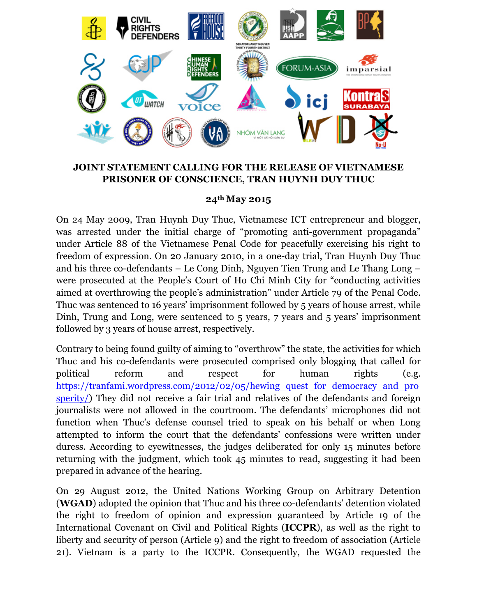

## **JOINT STATEMENT CALLING FOR THE RELEASE OF VIETNAMESE PRISONER OF CONSCIENCE, TRAN HUYNH DUY THUC**

## **24th May 2015**

On 24 May 2009, Tran Huynh Duy Thuc, Vietnamese ICT entrepreneur and blogger, was arrested under the initial charge of "promoting anti-government propaganda" under Article 88 of the Vietnamese Penal Code for peacefully exercising his right to freedom of expression. On 20 January 2010, in a one-day trial, Tran Huynh Duy Thuc and his three co-defendants – Le Cong Dinh, Nguyen Tien Trung and Le Thang Long – were prosecuted at the People's Court of Ho Chi Minh City for "conducting activities aimed at overthrowing the people's administration" under Article 79 of the Penal Code. Thuc was sentenced to 16 years' imprisonment followed by 5 years of house arrest, while Dinh, Trung and Long, were sentenced to 5 years, 7 years and 5 years' imprisonment followed by 3 years of house arrest, respectively.

Contrary to being found guilty of aiming to "overthrow" the state, the activities for which Thuc and his co-defendants were prosecuted comprised only blogging that called for political reform and respect for human rights (e.g. https://tranfami.wordpress.com/2012/02/05/hewing\_quest\_for\_democracy\_and\_pro sperity/) They did not receive a fair trial and relatives of the defendants and foreign journalists were not allowed in the courtroom. The defendants' microphones did not function when Thuc's defense counsel tried to speak on his behalf or when Long attempted to inform the court that the defendants' confessions were written under duress. According to eyewitnesses, the judges deliberated for only 15 minutes before returning with the judgment, which took 45 minutes to read, suggesting it had been prepared in advance of the hearing.

On 29 August 2012, the United Nations Working Group on Arbitrary Detention (**WGAD**) adopted the opinion that Thuc and his three co-defendants' detention violated the right to freedom of opinion and expression guaranteed by Article 19 of the International Covenant on Civil and Political Rights (**ICCPR**), as well as the right to liberty and security of person (Article 9) and the right to freedom of association (Article 21). Vietnam is a party to the ICCPR. Consequently, the WGAD requested the